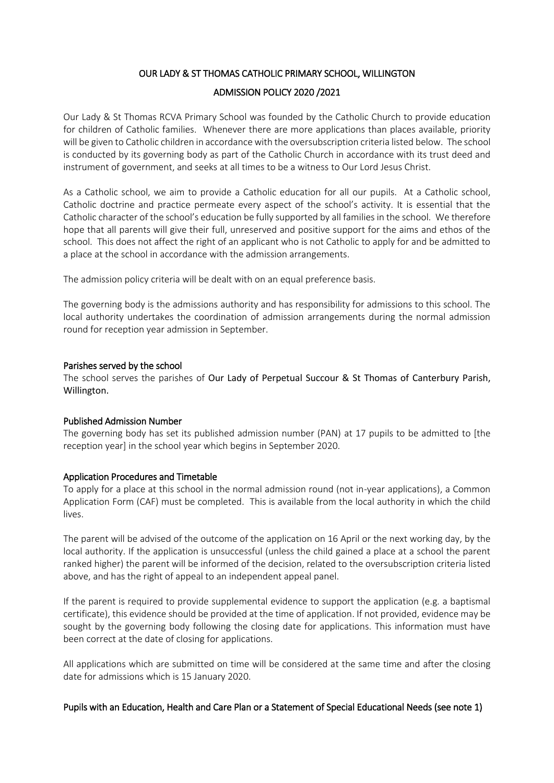# OUR LADY & ST THOMAS CATHOLIC PRIMARY SCHOOL, WILLINGTON

## ADMISSION POLICY 2020 /2021

Our Lady & St Thomas RCVA Primary School was founded by the Catholic Church to provide education for children of Catholic families. Whenever there are more applications than places available, priority will be given to Catholic children in accordance with the oversubscription criteria listed below. The school is conducted by its governing body as part of the Catholic Church in accordance with its trust deed and instrument of government, and seeks at all times to be a witness to Our Lord Jesus Christ.

As a Catholic school, we aim to provide a Catholic education for all our pupils. At a Catholic school, Catholic doctrine and practice permeate every aspect of the school's activity. It is essential that the Catholic character of the school's education be fully supported by all families in the school. We therefore hope that all parents will give their full, unreserved and positive support for the aims and ethos of the school. This does not affect the right of an applicant who is not Catholic to apply for and be admitted to a place at the school in accordance with the admission arrangements.

The admission policy criteria will be dealt with on an equal preference basis.

The governing body is the admissions authority and has responsibility for admissions to this school. The local authority undertakes the coordination of admission arrangements during the normal admission round for reception year admission in September.

## Parishes served by the school

The school serves the parishes of Our Lady of Perpetual Succour & St Thomas of Canterbury Parish, Willington.

## Published Admission Number

The governing body has set its published admission number (PAN) at 17 pupils to be admitted to [the reception year] in the school year which begins in September 2020.

## Application Procedures and Timetable

To apply for a place at this school in the normal admission round (not in-year applications), a Common Application Form (CAF) must be completed. This is available from the local authority in which the child lives.

The parent will be advised of the outcome of the application on 16 April or the next working day, by the local authority. If the application is unsuccessful (unless the child gained a place at a school the parent ranked higher) the parent will be informed of the decision, related to the oversubscription criteria listed above, and has the right of appeal to an independent appeal panel.

If the parent is required to provide supplemental evidence to support the application (e.g. a baptismal certificate), this evidence should be provided at the time of application. If not provided, evidence may be sought by the governing body following the closing date for applications. This information must have been correct at the date of closing for applications.

All applications which are submitted on time will be considered at the same time and after the closing date for admissions which is 15 January 2020.

Pupils with an Education, Health and Care Plan or a Statement of Special Educational Needs (see note 1)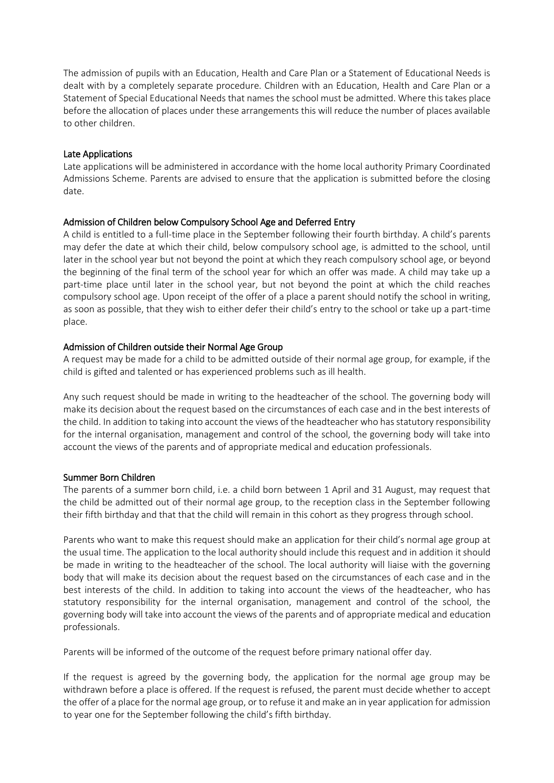The admission of pupils with an Education, Health and Care Plan or a Statement of Educational Needs is dealt with by a completely separate procedure. Children with an Education, Health and Care Plan or a Statement of Special Educational Needs that names the school must be admitted. Where this takes place before the allocation of places under these arrangements this will reduce the number of places available to other children.

## Late Applications

Late applications will be administered in accordance with the home local authority Primary Coordinated Admissions Scheme. Parents are advised to ensure that the application is submitted before the closing date.

# Admission of Children below Compulsory School Age and Deferred Entry

A child is entitled to a full-time place in the September following their fourth birthday. A child's parents may defer the date at which their child, below compulsory school age, is admitted to the school, until later in the school year but not beyond the point at which they reach compulsory school age, or beyond the beginning of the final term of the school year for which an offer was made. A child may take up a part-time place until later in the school year, but not beyond the point at which the child reaches compulsory school age. Upon receipt of the offer of a place a parent should notify the school in writing, as soon as possible, that they wish to either defer their child's entry to the school or take up a part-time place.

# Admission of Children outside their Normal Age Group

A request may be made for a child to be admitted outside of their normal age group, for example, if the child is gifted and talented or has experienced problems such as ill health.

Any such request should be made in writing to the headteacher of the school. The governing body will make its decision about the request based on the circumstances of each case and in the best interests of the child. In addition to taking into account the views of the headteacher who has statutory responsibility for the internal organisation, management and control of the school, the governing body will take into account the views of the parents and of appropriate medical and education professionals.

## Summer Born Children

The parents of a summer born child, i.e. a child born between 1 April and 31 August, may request that the child be admitted out of their normal age group, to the reception class in the September following their fifth birthday and that that the child will remain in this cohort as they progress through school.

Parents who want to make this request should make an application for their child's normal age group at the usual time. The application to the local authority should include this request and in addition it should be made in writing to the headteacher of the school. The local authority will liaise with the governing body that will make its decision about the request based on the circumstances of each case and in the best interests of the child. In addition to taking into account the views of the headteacher, who has statutory responsibility for the internal organisation, management and control of the school, the governing body will take into account the views of the parents and of appropriate medical and education professionals.

Parents will be informed of the outcome of the request before primary national offer day.

If the request is agreed by the governing body, the application for the normal age group may be withdrawn before a place is offered. If the request is refused, the parent must decide whether to accept the offer of a place for the normal age group, or to refuse it and make an in year application for admission to year one for the September following the child's fifth birthday.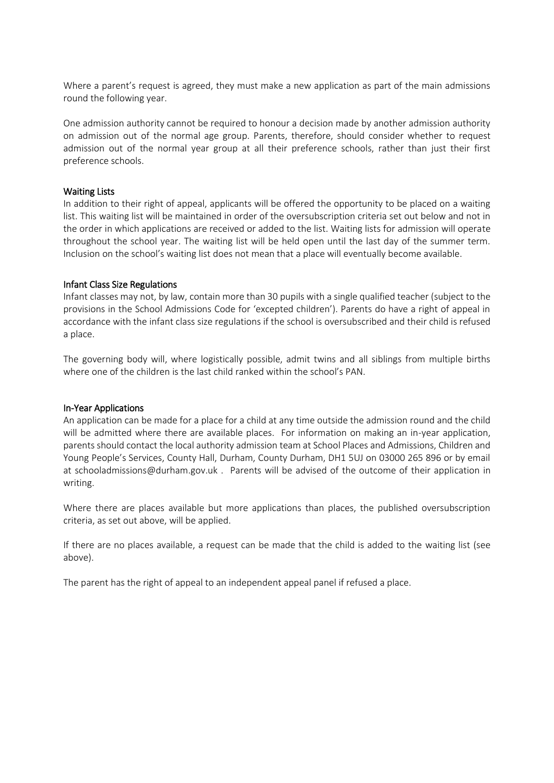Where a parent's request is agreed, they must make a new application as part of the main admissions round the following year.

One admission authority cannot be required to honour a decision made by another admission authority on admission out of the normal age group. Parents, therefore, should consider whether to request admission out of the normal year group at all their preference schools, rather than just their first preference schools.

#### Waiting Lists

In addition to their right of appeal, applicants will be offered the opportunity to be placed on a waiting list. This waiting list will be maintained in order of the oversubscription criteria set out below and not in the order in which applications are received or added to the list. Waiting lists for admission will operate throughout the school year. The waiting list will be held open until the last day of the summer term. Inclusion on the school's waiting list does not mean that a place will eventually become available.

#### Infant Class Size Regulations

Infant classes may not, by law, contain more than 30 pupils with a single qualified teacher (subject to the provisions in the School Admissions Code for 'excepted children'). Parents do have a right of appeal in accordance with the infant class size regulations if the school is oversubscribed and their child is refused a place.

The governing body will, where logistically possible, admit twins and all siblings from multiple births where one of the children is the last child ranked within the school's PAN.

#### In-Year Applications

An application can be made for a place for a child at any time outside the admission round and the child will be admitted where there are available places. For information on making an in-year application, parents should contact the local authority admission team at School Places and Admissions, Children and Young People's Services, County Hall, Durham, County Durham, DH1 5UJ on 03000 265 896 or by email at schooladmissions@durham.gov.uk . Parents will be advised of the outcome of their application in writing.

Where there are places available but more applications than places, the published oversubscription criteria, as set out above, will be applied.

If there are no places available, a request can be made that the child is added to the waiting list (see above).

The parent has the right of appeal to an independent appeal panel if refused a place.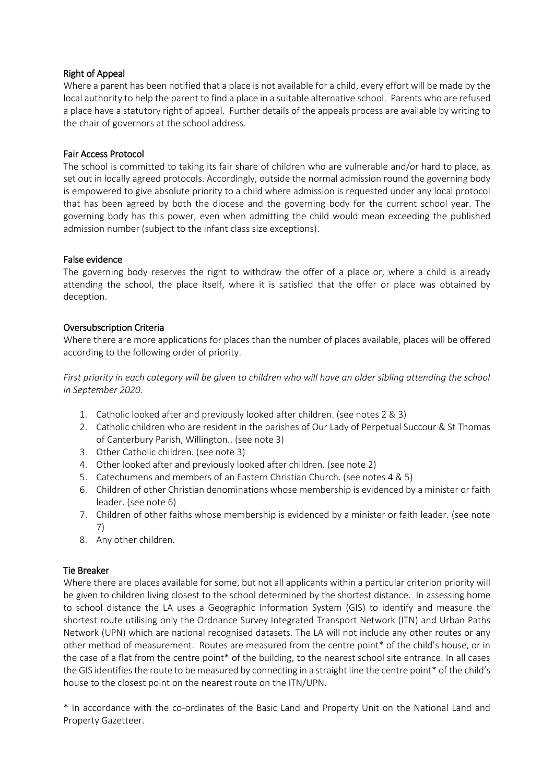# Right of Appeal

Where a parent has been notified that a place is not available for a child, every effort will be made by the local authority to help the parent to find a place in a suitable alternative school. Parents who are refused a place have a statutory right of appeal. Further details of the appeals process are available by writing to the chair of governors at the school address.

## Fair Access Protocol

The school is committed to taking its fair share of children who are vulnerable and/or hard to place, as set out in locally agreed protocols. Accordingly, outside the normal admission round the governing body is empowered to give absolute priority to a child where admission is requested under any local protocol that has been agreed by both the diocese and the governing body for the current school year. The governing body has this power, even when admitting the child would mean exceeding the published admission number (subject to the infant class size exceptions).

## False evidence

The governing body reserves the right to withdraw the offer of a place or, where a child is already attending the school, the place itself, where it is satisfied that the offer or place was obtained by deception.

# Oversubscription Criteria

Where there are more applications for places than the number of places available, places will be offered according to the following order of priority.

*First priority in each category will be given to children who will have an older sibling attending the school in September 2020.*

- 1. Catholic looked after and previously looked after children. (see notes 2 & 3)
- 2. Catholic children who are resident in the parishes of Our Lady of Perpetual Succour & St Thomas of Canterbury Parish, Willington.. (see note 3)
- 3. Other Catholic children. (see note 3)
- 4. Other looked after and previously looked after children. (see note 2)
- 5. Catechumens and members of an Eastern Christian Church. (see notes 4 & 5)
- 6. Children of other Christian denominations whose membership is evidenced by a minister or faith leader. (see note 6)
- 7. Children of other faiths whose membership is evidenced by a minister or faith leader. (see note 7)
- 8. Any other children.

# Tie Breaker

Where there are places available for some, but not all applicants within a particular criterion priority will be given to children living closest to the school determined by the shortest distance. In assessing home to school distance the LA uses a Geographic Information System (GIS) to identify and measure the shortest route utilising only the Ordnance Survey Integrated Transport Network (ITN) and Urban Paths Network (UPN) which are national recognised datasets. The LA will not include any other routes or any other method of measurement. Routes are measured from the centre point\* of the child's house, or in the case of a flat from the centre point\* of the building, to the nearest school site entrance. In all cases the GIS identifies the route to be measured by connecting in a straight line the centre point\* of the child's house to the closest point on the nearest route on the ITN/UPN.

\* In accordance with the co-ordinates of the Basic Land and Property Unit on the National Land and Property Gazetteer.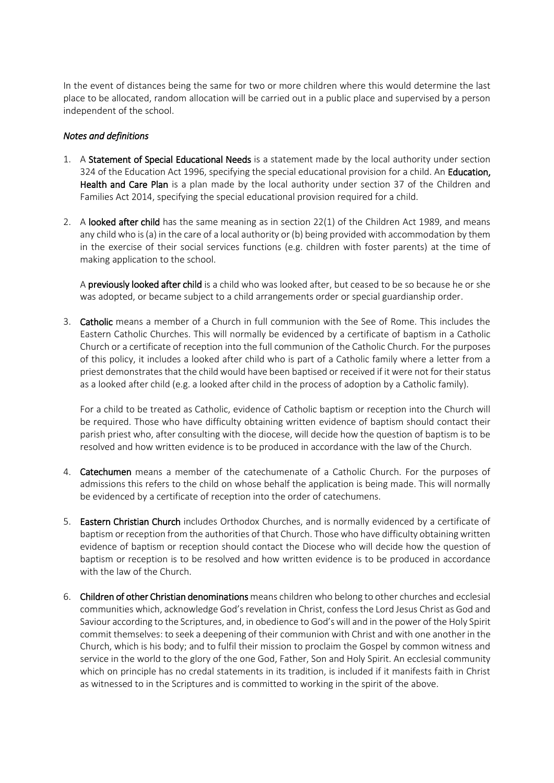In the event of distances being the same for two or more children where this would determine the last place to be allocated, random allocation will be carried out in a public place and supervised by a person independent of the school.

# *Notes and definitions*

- 1. A Statement of Special Educational Needs is a statement made by the local authority under section 324 of the Education Act 1996, specifying the special educational provision for a child. An Education, Health and Care Plan is a plan made by the local authority under section 37 of the Children and Families Act 2014, specifying the special educational provision required for a child.
- 2. A looked after child has the same meaning as in section 22(1) of the Children Act 1989, and means any child who is (a) in the care of a local authority or (b) being provided with accommodation by them in the exercise of their social services functions (e.g. children with foster parents) at the time of making application to the school.

A previously looked after child is a child who was looked after, but ceased to be so because he or she was adopted, or became subject to a child arrangements order or special guardianship order.

3. Catholic means a member of a Church in full communion with the See of Rome. This includes the Eastern Catholic Churches. This will normally be evidenced by a certificate of baptism in a Catholic Church or a certificate of reception into the full communion of the Catholic Church. For the purposes of this policy, it includes a looked after child who is part of a Catholic family where a letter from a priest demonstrates that the child would have been baptised or received if it were not for their status as a looked after child (e.g. a looked after child in the process of adoption by a Catholic family).

For a child to be treated as Catholic, evidence of Catholic baptism or reception into the Church will be required. Those who have difficulty obtaining written evidence of baptism should contact their parish priest who, after consulting with the diocese, will decide how the question of baptism is to be resolved and how written evidence is to be produced in accordance with the law of the Church.

- 4. **Catechumen** means a member of the catechumenate of a Catholic Church. For the purposes of admissions this refers to the child on whose behalf the application is being made. This will normally be evidenced by a certificate of reception into the order of catechumens.
- 5. Eastern Christian Church includes Orthodox Churches, and is normally evidenced by a certificate of baptism or reception from the authorities of that Church. Those who have difficulty obtaining written evidence of baptism or reception should contact the Diocese who will decide how the question of baptism or reception is to be resolved and how written evidence is to be produced in accordance with the law of the Church.
- 6. Children of other Christian denominations means children who belong to other churches and ecclesial communities which, acknowledge God's revelation in Christ, confess the Lord Jesus Christ as God and Saviour according to the Scriptures, and, in obedience to God's will and in the power of the Holy Spirit commit themselves: to seek a deepening of their communion with Christ and with one another in the Church, which is his body; and to fulfil their mission to proclaim the Gospel by common witness and service in the world to the glory of the one God, Father, Son and Holy Spirit. An ecclesial community which on principle has no credal statements in its tradition, is included if it manifests faith in Christ as witnessed to in the Scriptures and is committed to working in the spirit of the above.